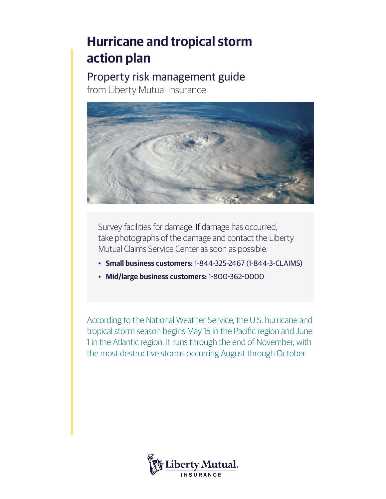# **Hurricane and tropical storm action plan**

Property risk management guide from Liberty Mutual Insurance



Survey facilities for damage. If damage has occurred, take photographs of the damage and contact the Liberty Mutual Claims Service Center as soon as possible.

- **Small business customers:** 1-844-325-2467 (1-844-3-CLAIMS)
- **Mid/large business customers:** 1-800-362-0000

According to the National Weather Service, the U.S. hurricane and tropical storm season begins May 15 in the Pacific region and June 1 in the Atlantic region. It runs through the end of November, with the most destructive storms occurring August through October.

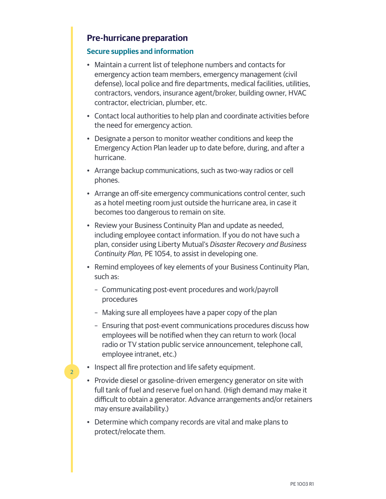## **Pre-hurricane preparation**

#### **Secure supplies and information**

- Maintain a current list of telephone numbers and contacts for emergency action team members, emergency management (civil defense), local police and fire departments, medical facilities, utilities, contractors, vendors, insurance agent/broker, building owner, HVAC contractor, electrician, plumber, etc.
- Contact local authorities to help plan and coordinate activities before the need for emergency action.
- Designate a person to monitor weather conditions and keep the Emergency Action Plan leader up to date before, during, and after a hurricane.
- Arrange backup communications, such as two-way radios or cell phones.
- Arrange an off-site emergency communications control center, such as a hotel meeting room just outside the hurricane area, in case it becomes too dangerous to remain on site.
- Review your Business Continuity Plan and update as needed, including employee contact information. If you do not have such a plan, consider using Liberty Mutual's *Disaster Recovery and Business Continuity Plan,* PE 1054, to assist in developing one.
- Remind employees of key elements of your Business Continuity Plan, such as:
	- Communicating post-event procedures and work/payroll procedures
	- Making sure all employees have a paper copy of the plan
	- Ensuring that post-event communications procedures discuss how employees will be notified when they can return to work (local radio or TV station public service announcement, telephone call, employee intranet, etc.)
- Inspect all fire protection and life safety equipment.

- Provide diesel or gasoline-driven emergency generator on site with full tank of fuel and reserve fuel on hand. (High demand may make it difficult to obtain a generator. Advance arrangements and/or retainers may ensure availability.)
- Determine which company records are vital and make plans to protect/relocate them.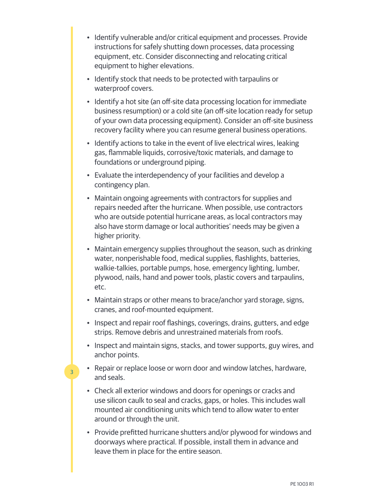- Identify vulnerable and/or critical equipment and processes. Provide instructions for safely shutting down processes, data processing equipment, etc. Consider disconnecting and relocating critical equipment to higher elevations.
- Identify stock that needs to be protected with tarpaulins or waterproof covers.
- Identify a hot site (an off-site data processing location for immediate business resumption) or a cold site (an off-site location ready for setup of your own data processing equipment). Consider an off-site business recovery facility where you can resume general business operations.
- Identify actions to take in the event of live electrical wires, leaking gas, flammable liquids, corrosive/toxic materials, and damage to foundations or underground piping.
- Evaluate the interdependency of your facilities and develop a contingency plan.
- Maintain ongoing agreements with contractors for supplies and repairs needed after the hurricane. When possible, use contractors who are outside potential hurricane areas, as local contractors may also have storm damage or local authorities' needs may be given a higher priority.
- Maintain emergency supplies throughout the season, such as drinking water, nonperishable food, medical supplies, flashlights, batteries, walkie-talkies, portable pumps, hose, emergency lighting, lumber, plywood, nails, hand and power tools, plastic covers and tarpaulins, etc.
- Maintain straps or other means to brace/anchor yard storage, signs, cranes, and roof-mounted equipment.
- Inspect and repair roof flashings, coverings, drains, gutters, and edge strips. Remove debris and unrestrained materials from roofs.
- Inspect and maintain signs, stacks, and tower supports, guy wires, and anchor points.
- Repair or replace loose or worn door and window latches, hardware, and seals.

- Check all exterior windows and doors for openings or cracks and use silicon caulk to seal and cracks, gaps, or holes. This includes wall mounted air conditioning units which tend to allow water to enter around or through the unit.
- Provide prefitted hurricane shutters and/or plywood for windows and doorways where practical. If possible, install them in advance and leave them in place for the entire season.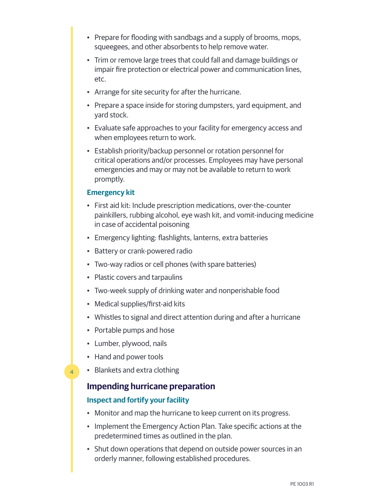- Prepare for flooding with sandbags and a supply of brooms, mops, squeegees, and other absorbents to help remove water.
- Trim or remove large trees that could fall and damage buildings or impair fire protection or electrical power and communication lines, etc.
- Arrange for site security for after the hurricane.
- Prepare a space inside for storing dumpsters, yard equipment, and yard stock.
- Evaluate safe approaches to your facility for emergency access and when employees return to work.
- Establish priority/backup personnel or rotation personnel for critical operations and/or processes. Employees may have personal emergencies and may or may not be available to return to work promptly.

#### **Emergency kit**

- First aid kit: Include prescription medications, over-the-counter painkillers, rubbing alcohol, eye wash kit, and vomit-inducing medicine in case of accidental poisoning
- Emergency lighting: flashlights, lanterns, extra batteries
- Battery or crank-powered radio
- Two-way radios or cell phones (with spare batteries)
- Plastic covers and tarpaulins
- Two-week supply of drinking water and nonperishable food
- Medical supplies/first-aid kits
- Whistles to signal and direct attention during and after a hurricane
- Portable pumps and hose
- Lumber, plywood, nails
- Hand and power tools

4

• Blankets and extra clothing

#### **Impending hurricane preparation**

#### **Inspect and fortify your facility**

- Monitor and map the hurricane to keep current on its progress.
- Implement the Emergency Action Plan. Take specific actions at the predetermined times as outlined in the plan.
- Shut down operations that depend on outside power sources in an orderly manner, following established procedures.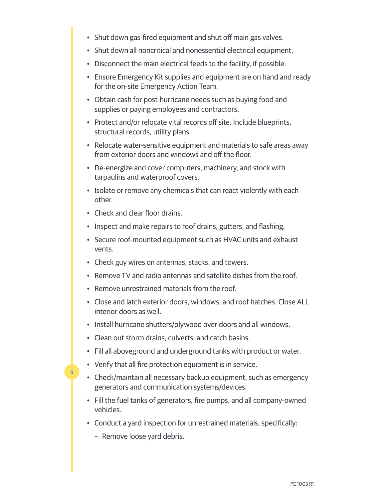- Shut down gas-fired equipment and shut off main gas valves.
- Shut down all noncritical and nonessential electrical equipment.
- Disconnect the main electrical feeds to the facility, if possible.
- Ensure Emergency Kit supplies and equipment are on hand and ready for the on-site Emergency Action Team.
- Obtain cash for post-hurricane needs such as buying food and supplies or paying employees and contractors.
- Protect and/or relocate vital records off site. Include blueprints, structural records, utility plans.
- Relocate water-sensitive equipment and materials to safe areas away from exterior doors and windows and off the floor.
- De-energize and cover computers, machinery, and stock with tarpaulins and waterproof covers.
- Isolate or remove any chemicals that can react violently with each other.
- Check and clear floor drains.
- Inspect and make repairs to roof drains, gutters, and flashing.
- Secure roof-mounted equipment such as HVAC units and exhaust vents.
- Check guy wires on antennas, stacks, and towers.
- Remove TV and radio antennas and satellite dishes from the roof.
- Remove unrestrained materials from the roof.
- Close and latch exterior doors, windows, and roof hatches. Close ALL interior doors as well.
- Install hurricane shutters/plywood over doors and all windows.
- Clean out storm drains, culverts, and catch basins.
- Fill all aboveground and underground tanks with product or water.
- Verify that all fire protection equipment is in service.
- Check/maintain all necessary backup equipment, such as emergency generators and communication systems/devices.
- Fill the fuel tanks of generators, fire pumps, and all company-owned vehicles.
- Conduct a yard inspection for unrestrained materials, specifically:
	- Remove loose yard debris.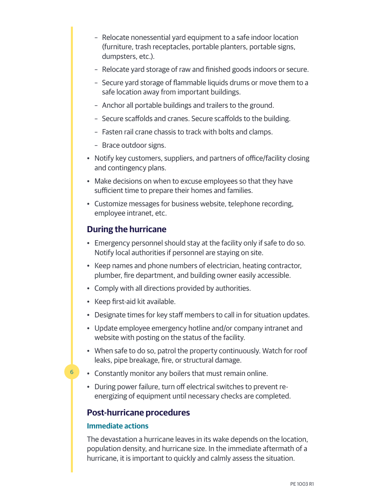- Relocate nonessential yard equipment to a safe indoor location (furniture, trash receptacles, portable planters, portable signs, dumpsters, etc.).
- Relocate yard storage of raw and finished goods indoors or secure.
- Secure yard storage of flammable liquids drums or move them to a safe location away from important buildings.
- Anchor all portable buildings and trailers to the ground.
- Secure scaffolds and cranes. Secure scaffolds to the building.
- Fasten rail crane chassis to track with bolts and clamps.
- Brace outdoor signs.
- Notify key customers, suppliers, and partners of office/facility closing and contingency plans.
- Make decisions on when to excuse employees so that they have sufficient time to prepare their homes and families.
- Customize messages for business website, telephone recording, employee intranet, etc.

## **During the hurricane**

- Emergency personnel should stay at the facility only if safe to do so. Notify local authorities if personnel are staying on site.
- Keep names and phone numbers of electrician, heating contractor, plumber, fire department, and building owner easily accessible.
- Comply with all directions provided by authorities.
- Keep first-aid kit available.
- Designate times for key staff members to call in for situation updates.
- Update employee emergency hotline and/or company intranet and website with posting on the status of the facility.
- When safe to do so, patrol the property continuously. Watch for roof leaks, pipe breakage, fire, or structural damage.
- Constantly monitor any boilers that must remain online.
- During power failure, turn off electrical switches to prevent reenergizing of equipment until necessary checks are completed.

## **Post-hurricane procedures**

#### **Immediate actions**

6

The devastation a hurricane leaves in its wake depends on the location, population density, and hurricane size. In the immediate aftermath of a hurricane, it is important to quickly and calmly assess the situation.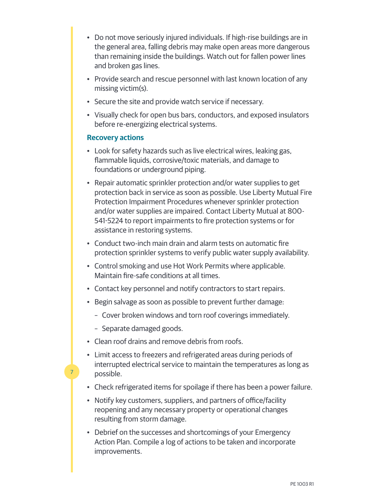- Do not move seriously injured individuals. If high-rise buildings are in the general area, falling debris may make open areas more dangerous than remaining inside the buildings. Watch out for fallen power lines and broken gas lines.
- Provide search and rescue personnel with last known location of any missing victim(s).
- Secure the site and provide watch service if necessary.
- Visually check for open bus bars, conductors, and exposed insulators before re-energizing electrical systems.

#### **Recovery actions**

- Look for safety hazards such as live electrical wires, leaking gas, flammable liquids, corrosive/toxic materials, and damage to foundations or underground piping.
- Repair automatic sprinkler protection and/or water supplies to get protection back in service as soon as possible. Use Liberty Mutual Fire Protection Impairment Procedures whenever sprinkler protection and/or water supplies are impaired. Contact Liberty Mutual at 800- 541-5224 to report impairments to fire protection systems or for assistance in restoring systems.
- Conduct two-inch main drain and alarm tests on automatic fire protection sprinkler systems to verify public water supply availability.
- Control smoking and use Hot Work Permits where applicable. Maintain fire-safe conditions at all times.
- Contact key personnel and notify contractors to start repairs.
- Begin salvage as soon as possible to prevent further damage:
	- Cover broken windows and torn roof coverings immediately.
	- Separate damaged goods.

- Clean roof drains and remove debris from roofs.
- Limit access to freezers and refrigerated areas during periods of interrupted electrical service to maintain the temperatures as long as possible.
- Check refrigerated items for spoilage if there has been a power failure.
- Notify key customers, suppliers, and partners of office/facility reopening and any necessary property or operational changes resulting from storm damage.
- Debrief on the successes and shortcomings of your Emergency Action Plan. Compile a log of actions to be taken and incorporate improvements.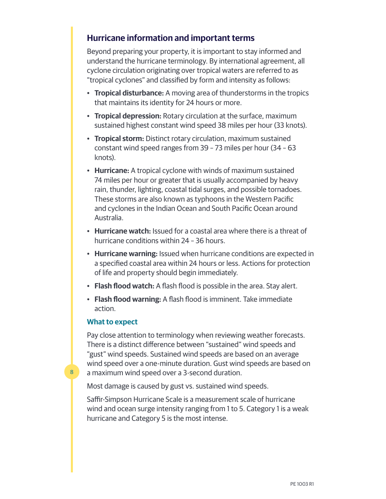## **Hurricane information and important terms**

Beyond preparing your property, it is important to stay informed and understand the hurricane terminology. By international agreement, all cyclone circulation originating over tropical waters are referred to as "tropical cyclones" and classified by form and intensity as follows:

- **Tropical disturbance:** A moving area of thunderstorms in the tropics that maintains its identity for 24 hours or more.
- **Tropical depression:** Rotary circulation at the surface, maximum sustained highest constant wind speed 38 miles per hour (33 knots).
- **Tropical storm:** Distinct rotary circulation, maximum sustained constant wind speed ranges from 39 – 73 miles per hour (34 – 63 knots).
- **Hurricane:** A tropical cyclone with winds of maximum sustained 74 miles per hour or greater that is usually accompanied by heavy rain, thunder, lighting, coastal tidal surges, and possible tornadoes. These storms are also known as typhoons in the Western Pacific and cyclones in the Indian Ocean and South Pacific Ocean around Australia.
- **Hurricane watch:** Issued for a coastal area where there is a threat of hurricane conditions within 24 – 36 hours.
- **Hurricane warning:** Issued when hurricane conditions are expected in a specified coastal area within 24 hours or less. Actions for protection of life and property should begin immediately.
- **Flash flood watch:** A flash flood is possible in the area. Stay alert.
- **Flash flood warning:** A flash flood is imminent. Take immediate action.

#### **What to expect**

8

Pay close attention to terminology when reviewing weather forecasts. There is a distinct difference between "sustained" wind speeds and "gust" wind speeds. Sustained wind speeds are based on an average wind speed over a one-minute duration. Gust wind speeds are based on a maximum wind speed over a 3-second duration.

Most damage is caused by gust vs. sustained wind speeds.

Saffir-Simpson Hurricane Scale is a measurement scale of hurricane wind and ocean surge intensity ranging from 1 to 5. Category 1 is a weak hurricane and Category 5 is the most intense.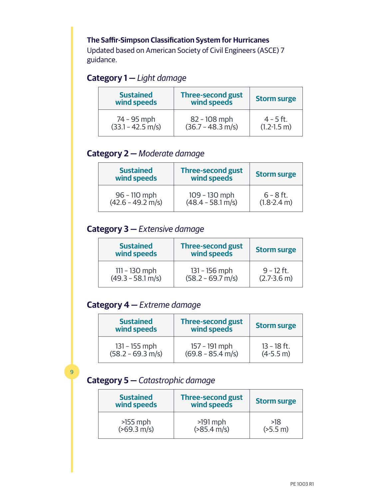## **The Saffir-Simpson Classification System for Hurricanes**

Updated based on American Society of Civil Engineers (ASCE) 7 guidance.

# **Category 1 —** *Light damage*

| <b>Sustained</b><br>wind speeds | <b>Three-second gust</b><br>wind speeds | <b>Storm surge</b> |
|---------------------------------|-----------------------------------------|--------------------|
| 74 - 95 mph                     | $82 - 108$ mph                          | $4 - 5$ ft.        |
| $(33.1 - 42.5 \text{ m/s})$     | $(36.7 - 48.3 \text{ m/s})$             | $(1.2 - 1.5)$ m)   |

# **Category 2 —** *Moderate damage*

| <b>Sustained</b><br>wind speeds | <b>Three-second gust</b><br>wind speeds | <b>Storm surge</b> |
|---------------------------------|-----------------------------------------|--------------------|
| $96 - 110$ mph                  | 109 - 130 mph                           | $6 - 8$ ft.        |
| $(42.6 - 49.2 \text{ m/s})$     | $(48.4 - 58.1 \text{ m/s})$             | $(1.8-2.4 m)$      |

# **Category 3 —** *Extensive damage*

| <b>Sustained</b><br>wind speeds | <b>Three-second gust</b><br>wind speeds | <b>Storm surge</b> |
|---------------------------------|-----------------------------------------|--------------------|
| $111 - 130$ mph                 | $131 - 156$ mph                         | $9 - 12$ ft.       |
| $(49.3 - 58.1 \text{ m/s})$     | $(58.2 - 69.7 \text{ m/s})$             | $(2.7 - 3.6)$ m)   |

# **Category 4 —** *Extreme damage*

| <b>Sustained</b><br>wind speeds | <b>Three-second gust</b><br>wind speeds | <b>Storm surge</b> |
|---------------------------------|-----------------------------------------|--------------------|
| $131 - 155$ mph                 | 157 - 191 mph                           | $13 - 18$ ft.      |
| $(58.2 - 69.3 \text{ m/s})$     | $(69.8 - 85.4 \text{ m/s})$             | $(4-5.5 m)$        |

# **Category 5 —** *Catastrophic damage*

 $\overline{q}$ 

| <b>Sustained</b><br>wind speeds | <b>Three-second gust</b><br>wind speeds | <b>Storm surge</b>  |
|---------------------------------|-----------------------------------------|---------------------|
| $>155$ mph                      | $>191$ mph                              | >18                 |
| $(569.3 \text{ m/s})$           | $( >85.4 \text{ m/s})$                  | $(5.5 \, \text{m})$ |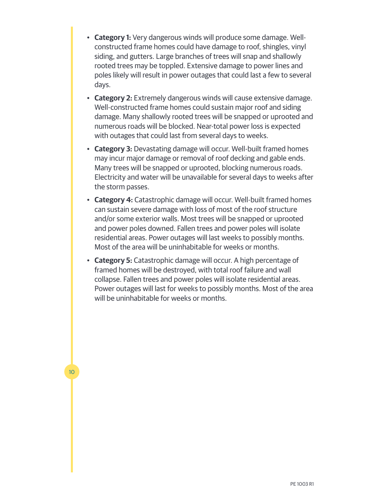- **Category 1:** Very dangerous winds will produce some damage. Wellconstructed frame homes could have damage to roof, shingles, vinyl siding, and gutters. Large branches of trees will snap and shallowly rooted trees may be toppled. Extensive damage to power lines and poles likely will result in power outages that could last a few to several days.
- **Category 2:** Extremely dangerous winds will cause extensive damage. Well-constructed frame homes could sustain major roof and siding damage. Many shallowly rooted trees will be snapped or uprooted and numerous roads will be blocked. Near-total power loss is expected with outages that could last from several days to weeks.
- **Category 3:** Devastating damage will occur. Well-built framed homes may incur major damage or removal of roof decking and gable ends. Many trees will be snapped or uprooted, blocking numerous roads. Electricity and water will be unavailable for several days to weeks after the storm passes.
- **Category 4:** Catastrophic damage will occur. Well-built framed homes can sustain severe damage with loss of most of the roof structure and/or some exterior walls. Most trees will be snapped or uprooted and power poles downed. Fallen trees and power poles will isolate residential areas. Power outages will last weeks to possibly months. Most of the area will be uninhabitable for weeks or months.
- **Category 5:** Catastrophic damage will occur. A high percentage of framed homes will be destroyed, with total roof failure and wall collapse. Fallen trees and power poles will isolate residential areas. Power outages will last for weeks to possibly months. Most of the area will be uninhabitable for weeks or months.